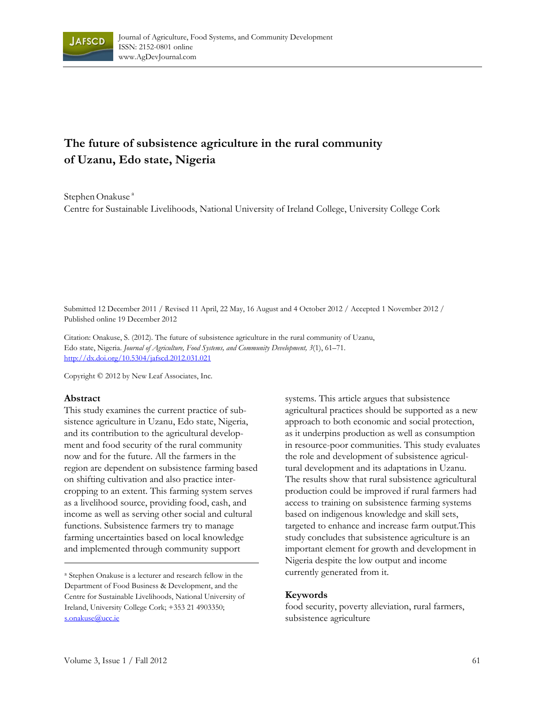

# **The future of subsistence agriculture in the rural community of Uzanu, Edo state, Nigeria**

Stephen Onakuse<sup>a</sup>

Centre for Sustainable Livelihoods, National University of Ireland College, University College Cork

Submitted 12 December 2011 / Revised 11 April, 22 May, 16 August and 4 October 2012 / Accepted 1 November 2012 / Published online 19 December 2012

Citation: Onakuse, S. (2012). The future of subsistence agriculture in the rural community of Uzanu, Edo state, Nigeria. *Journal of Agriculture, Food Systems, and Community Development, 3*(1), 61–71. http://dx.doi.org/10.5304/jafscd.2012.031.021

Copyright © 2012 by New Leaf Associates, Inc.

#### **Abstract**

This study examines the current practice of subsistence agriculture in Uzanu, Edo state, Nigeria, and its contribution to the agricultural development and food security of the rural community now and for the future. All the farmers in the region are dependent on subsistence farming based on shifting cultivation and also practice intercropping to an extent. This farming system serves as a livelihood source, providing food, cash, and income as well as serving other social and cultural functions. Subsistence farmers try to manage farming uncertainties based on local knowledge and implemented through community support

<sup>a</sup> Stephen Onakuse is a lecturer and research fellow in the Department of Food Business & Development, and the Centre for Sustainable Livelihoods, National University of Ireland, University College Cork; +353 21 4903350; s.onakuse@ucc.ie

systems. This article argues that subsistence agricultural practices should be supported as a new approach to both economic and social protection, as it underpins production as well as consumption in resource-poor communities. This study evaluates the role and development of subsistence agricultural development and its adaptations in Uzanu. The results show that rural subsistence agricultural production could be improved if rural farmers had access to training on subsistence farming systems based on indigenous knowledge and skill sets, targeted to enhance and increase farm output.This study concludes that subsistence agriculture is an important element for growth and development in Nigeria despite the low output and income currently generated from it.

#### **Keywords**

food security, poverty alleviation, rural farmers, subsistence agriculture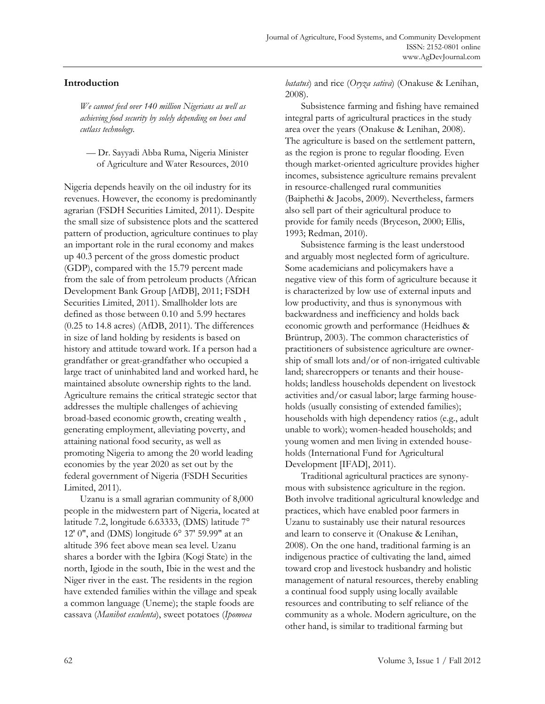# **Introduction**

*We cannot feed over 140 million Nigerians as well as achieving food security by solely depending on hoes and cutlass technology.* 

— Dr. Sayyadi Abba Ruma, Nigeria Minister of Agriculture and Water Resources, 2010

Nigeria depends heavily on the oil industry for its revenues. However, the economy is predominantly agrarian (FSDH Securities Limited, 2011). Despite the small size of subsistence plots and the scattered pattern of production, agriculture continues to play an important role in the rural economy and makes up 40.3 percent of the gross domestic product (GDP), compared with the 15.79 percent made from the sale of from petroleum products (African Development Bank Group [AfDB], 2011; FSDH Securities Limited, 2011). Smallholder lots are defined as those between 0.10 and 5.99 hectares (0.25 to 14.8 acres) (AfDB, 2011). The differences in size of land holding by residents is based on history and attitude toward work. If a person had a grandfather or great-grandfather who occupied a large tract of uninhabited land and worked hard, he maintained absolute ownership rights to the land. Agriculture remains the critical strategic sector that addresses the multiple challenges of achieving broad-based economic growth, creating wealth , generating employment, alleviating poverty, and attaining national food security, as well as promoting Nigeria to among the 20 world leading economies by the year 2020 as set out by the federal government of Nigeria (FSDH Securities Limited, 2011).

 Uzanu is a small agrarian community of 8,000 people in the midwestern part of Nigeria, located at latitude 7.2, longitude 6.63333, (DMS) latitude 7° 12' 0", and (DMS) longitude 6° 37' 59.99" at an altitude 396 feet above mean sea level. Uzanu shares a border with the Igbira (Kogi State) in the north, Igiode in the south, Ibie in the west and the Niger river in the east. The residents in the region have extended families within the village and speak a common language (Uneme); the staple foods are cassava (*Manihot esculenta*), sweet potatoes (*Ipomoea* 

*batatus*) and rice (*Oryza sativa*) (Onakuse & Lenihan, 2008).

 Subsistence farming and fishing have remained integral parts of agricultural practices in the study area over the years (Onakuse & Lenihan, 2008). The agriculture is based on the settlement pattern, as the region is prone to regular flooding. Even though market-oriented agriculture provides higher incomes, subsistence agriculture remains prevalent in resource-challenged rural communities (Baiphethi & Jacobs, 2009). Nevertheless, farmers also sell part of their agricultural produce to provide for family needs (Bryceson, 2000; Ellis, 1993; Redman, 2010).

 Subsistence farming is the least understood and arguably most neglected form of agriculture. Some academicians and policymakers have a negative view of this form of agriculture because it is characterized by low use of external inputs and low productivity, and thus is synonymous with backwardness and inefficiency and holds back economic growth and performance (Heidhues & Brüntrup, 2003). The common characteristics of practitioners of subsistence agriculture are ownership of small lots and/or of non-irrigated cultivable land; sharecroppers or tenants and their households; landless households dependent on livestock activities and/or casual labor; large farming households (usually consisting of extended families); households with high dependency ratios (e.g., adult unable to work); women-headed households; and young women and men living in extended households (International Fund for Agricultural Development [IFAD], 2011).

 Traditional agricultural practices are synonymous with subsistence agriculture in the region. Both involve traditional agricultural knowledge and practices, which have enabled poor farmers in Uzanu to sustainably use their natural resources and learn to conserve it (Onakuse & Lenihan, 2008). On the one hand, traditional farming is an indigenous practice of cultivating the land, aimed toward crop and livestock husbandry and holistic management of natural resources, thereby enabling a continual food supply using locally available resources and contributing to self reliance of the community as a whole. Modern agriculture, on the other hand, is similar to traditional farming but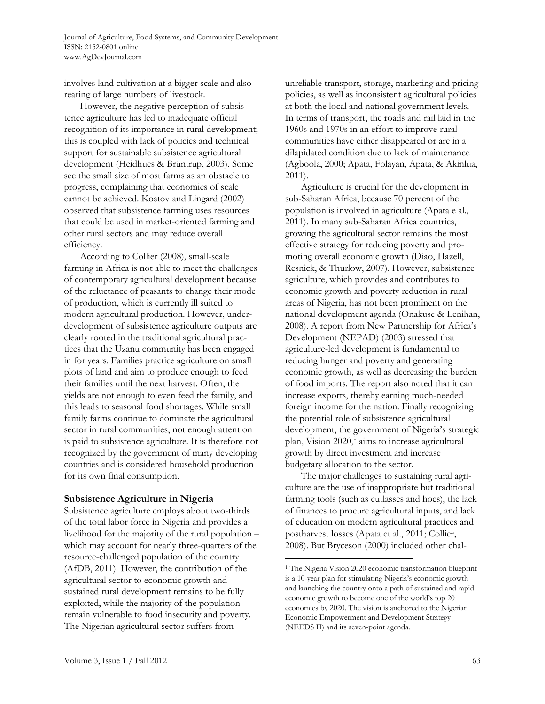involves land cultivation at a bigger scale and also rearing of large numbers of livestock.

 However, the negative perception of subsistence agriculture has led to inadequate official recognition of its importance in rural development; this is coupled with lack of policies and technical support for sustainable subsistence agricultural development (Heidhues & Brüntrup, 2003). Some see the small size of most farms as an obstacle to progress, complaining that economies of scale cannot be achieved. Kostov and Lingard (2002) observed that subsistence farming uses resources that could be used in market-oriented farming and other rural sectors and may reduce overall efficiency.

 According to Collier (2008), small-scale farming in Africa is not able to meet the challenges of contemporary agricultural development because of the reluctance of peasants to change their mode of production, which is currently ill suited to modern agricultural production. However, underdevelopment of subsistence agriculture outputs are clearly rooted in the traditional agricultural practices that the Uzanu community has been engaged in for years. Families practice agriculture on small plots of land and aim to produce enough to feed their families until the next harvest. Often, the yields are not enough to even feed the family, and this leads to seasonal food shortages. While small family farms continue to dominate the agricultural sector in rural communities, not enough attention is paid to subsistence agriculture. It is therefore not recognized by the government of many developing countries and is considered household production for its own final consumption.

### **Subsistence Agriculture in Nigeria**

Subsistence agriculture employs about two-thirds of the total labor force in Nigeria and provides a livelihood for the majority of the rural population – which may account for nearly three-quarters of the resource-challenged population of the country (AfDB, 2011). However, the contribution of the agricultural sector to economic growth and sustained rural development remains to be fully exploited, while the majority of the population remain vulnerable to food insecurity and poverty. The Nigerian agricultural sector suffers from

unreliable transport, storage, marketing and pricing policies, as well as inconsistent agricultural policies at both the local and national government levels. In terms of transport, the roads and rail laid in the 1960s and 1970s in an effort to improve rural communities have either disappeared or are in a dilapidated condition due to lack of maintenance (Agboola, 2000; Apata, Folayan, Apata, & Akinlua, 2011).

 Agriculture is crucial for the development in sub-Saharan Africa, because 70 percent of the population is involved in agriculture (Apata e al., 2011). In many sub-Saharan Africa countries, growing the agricultural sector remains the most effective strategy for reducing poverty and promoting overall economic growth (Diao, Hazell, Resnick, & Thurlow, 2007). However, subsistence agriculture, which provides and contributes to economic growth and poverty reduction in rural areas of Nigeria, has not been prominent on the national development agenda (Onakuse & Lenihan, 2008). A report from New Partnership for Africa's Development (NEPAD) (2003) stressed that agriculture-led development is fundamental to reducing hunger and poverty and generating economic growth, as well as decreasing the burden of food imports. The report also noted that it can increase exports, thereby earning much-needed foreign income for the nation. Finally recognizing the potential role of subsistence agricultural development, the government of Nigeria's strategic plan, Vision 2020,<sup>1</sup> aims to increase agricultural growth by direct investment and increase budgetary allocation to the sector.

 The major challenges to sustaining rural agriculture are the use of inappropriate but traditional farming tools (such as cutlasses and hoes), the lack of finances to procure agricultural inputs, and lack of education on modern agricultural practices and postharvest losses (Apata et al., 2011; Collier, 2008). But Bryceson (2000) included other chal-

 $\overline{a}$ 

<sup>1</sup> The Nigeria Vision 2020 economic transformation blueprint is a 10-year plan for stimulating Nigeria's economic growth and launching the country onto a path of sustained and rapid economic growth to become one of the world's top 20 economies by 2020. The vision is anchored to the Nigerian Economic Empowerment and Development Strategy (NEEDS II) and its seven-point agenda.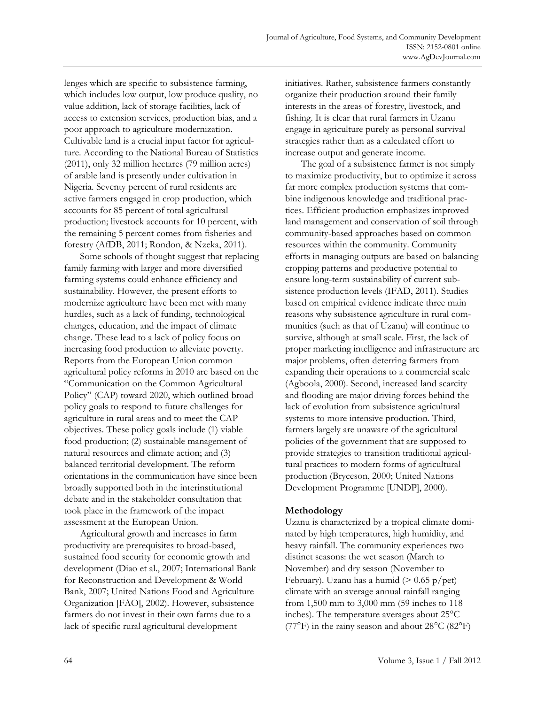lenges which are specific to subsistence farming, which includes low output, low produce quality, no value addition, lack of storage facilities, lack of access to extension services, production bias, and a poor approach to agriculture modernization. Cultivable land is a crucial input factor for agriculture. According to the National Bureau of Statistics (2011), only 32 million hectares (79 million acres) of arable land is presently under cultivation in Nigeria. Seventy percent of rural residents are active farmers engaged in crop production, which accounts for 85 percent of total agricultural production; livestock accounts for 10 percent, with the remaining 5 percent comes from fisheries and forestry (AfDB, 2011; Rondon, & Nzeka, 2011).

 Some schools of thought suggest that replacing family farming with larger and more diversified farming systems could enhance efficiency and sustainability. However, the present efforts to modernize agriculture have been met with many hurdles, such as a lack of funding, technological changes, education, and the impact of climate change. These lead to a lack of policy focus on increasing food production to alleviate poverty. Reports from the European Union common agricultural policy reforms in 2010 are based on the "Communication on the Common Agricultural Policy" (CAP) toward 2020, which outlined broad policy goals to respond to future challenges for agriculture in rural areas and to meet the CAP objectives. These policy goals include (1) viable food production; (2) sustainable management of natural resources and climate action; and (3) balanced territorial development. The reform orientations in the communication have since been broadly supported both in the interinstitutional debate and in the stakeholder consultation that took place in the framework of the impact assessment at the European Union.

 Agricultural growth and increases in farm productivity are prerequisites to broad-based, sustained food security for economic growth and development (Diao et al., 2007; International Bank for Reconstruction and Development & World Bank, 2007; United Nations Food and Agriculture Organization [FAO], 2002). However, subsistence farmers do not invest in their own farms due to a lack of specific rural agricultural development

initiatives. Rather, subsistence farmers constantly organize their production around their family interests in the areas of forestry, livestock, and fishing. It is clear that rural farmers in Uzanu engage in agriculture purely as personal survival strategies rather than as a calculated effort to increase output and generate income.

The goal of a subsistence farmer is not simply to maximize productivity, but to optimize it across far more complex production systems that combine indigenous knowledge and traditional practices. Efficient production emphasizes improved land management and conservation of soil through community-based approaches based on common resources within the community. Community efforts in managing outputs are based on balancing cropping patterns and productive potential to ensure long-term sustainability of current subsistence production levels (IFAD, 2011). Studies based on empirical evidence indicate three main reasons why subsistence agriculture in rural communities (such as that of Uzanu) will continue to survive, although at small scale. First, the lack of proper marketing intelligence and infrastructure are major problems, often deterring farmers from expanding their operations to a commercial scale (Agboola, 2000). Second, increased land scarcity and flooding are major driving forces behind the lack of evolution from subsistence agricultural systems to more intensive production. Third, farmers largely are unaware of the agricultural policies of the government that are supposed to provide strategies to transition traditional agricultural practices to modern forms of agricultural production (Bryceson, 2000; United Nations Development Programme [UNDP], 2000).

# **Methodology**

Uzanu is characterized by a tropical climate dominated by high temperatures, high humidity, and heavy rainfall. The community experiences two distinct seasons: the wet season (March to November) and dry season (November to February). Uzanu has a humid ( $> 0.65$  p/pet) climate with an average annual rainfall ranging from 1,500 mm to 3,000 mm (59 inches to 118 inches). The temperature averages about 25°C (77 $\mathrm{P}$ ) in the rainy season and about 28 $\mathrm{C}$  (82 $\mathrm{P}$ )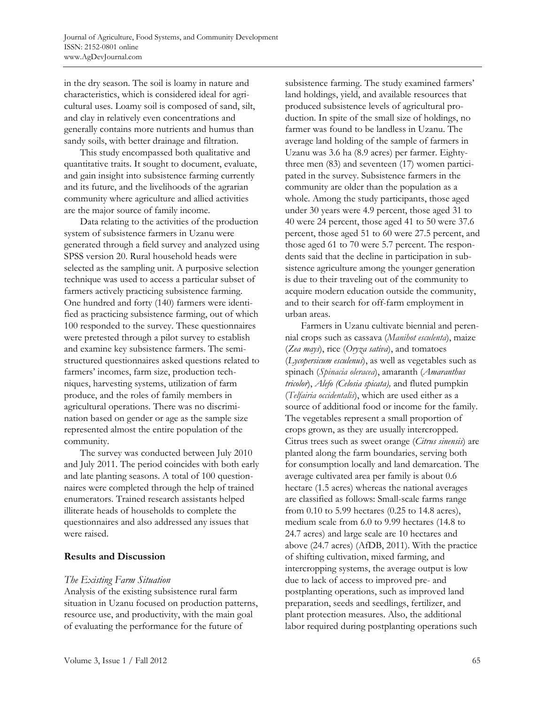in the dry season. The soil is loamy in nature and characteristics, which is considered ideal for agricultural uses. Loamy soil is composed of sand, silt, and clay in relatively even concentrations and generally contains more nutrients and humus than sandy soils, with better drainage and filtration.

 This study encompassed both qualitative and quantitative traits. It sought to document, evaluate, and gain insight into subsistence farming currently and its future, and the livelihoods of the agrarian community where agriculture and allied activities are the major source of family income.

 Data relating to the activities of the production system of subsistence farmers in Uzanu were generated through a field survey and analyzed using SPSS version 20. Rural household heads were selected as the sampling unit. A purposive selection technique was used to access a particular subset of farmers actively practicing subsistence farming. One hundred and forty (140) farmers were identified as practicing subsistence farming, out of which 100 responded to the survey. These questionnaires were pretested through a pilot survey to establish and examine key subsistence farmers. The semistructured questionnaires asked questions related to farmers' incomes, farm size, production techniques, harvesting systems, utilization of farm produce, and the roles of family members in agricultural operations. There was no discrimination based on gender or age as the sample size represented almost the entire population of the community.

 The survey was conducted between July 2010 and July 2011. The period coincides with both early and late planting seasons. A total of 100 questionnaires were completed through the help of trained enumerators. Trained research assistants helped illiterate heads of households to complete the questionnaires and also addressed any issues that were raised.

### **Results and Discussion**

# *The Existing Farm Situation*

Analysis of the existing subsistence rural farm situation in Uzanu focused on production patterns, resource use, and productivity, with the main goal of evaluating the performance for the future of

subsistence farming. The study examined farmers' land holdings, yield, and available resources that produced subsistence levels of agricultural production. In spite of the small size of holdings, no farmer was found to be landless in Uzanu. The average land holding of the sample of farmers in Uzanu was 3.6 ha (8.9 acres) per farmer. Eightythree men (83) and seventeen (17) women participated in the survey. Subsistence farmers in the community are older than the population as a whole. Among the study participants, those aged under 30 years were 4.9 percent, those aged 31 to 40 were 24 percent, those aged 41 to 50 were 37.6 percent, those aged 51 to 60 were 27.5 percent, and those aged 61 to 70 were 5.7 percent. The respondents said that the decline in participation in subsistence agriculture among the younger generation is due to their traveling out of the community to acquire modern education outside the community, and to their search for off-farm employment in urban areas.

 Farmers in Uzanu cultivate biennial and perennial crops such as cassava (*Manihot esculenta*), maize (*Zea mays*), rice (*Oryza sativa*), and tomatoes (*Lycopersicum esculenus*), as well as vegetables such as spinach (*Spinacia oleracea*), amaranth (*Amaranthus tricolor*), *Alefo (Celosia spicata),* and fluted pumpkin (*Telfairia occidentalis*), which are used either as a source of additional food or income for the family. The vegetables represent a small proportion of crops grown, as they are usually intercropped. Citrus trees such as sweet orange (*Citrus sinensis*) are planted along the farm boundaries, serving both for consumption locally and land demarcation. The average cultivated area per family is about 0.6 hectare (1.5 acres) whereas the national averages are classified as follows: Small-scale farms range from 0.10 to 5.99 hectares (0.25 to 14.8 acres), medium scale from 6.0 to 9.99 hectares (14.8 to 24.7 acres) and large scale are 10 hectares and above (24.7 acres) (AfDB, 2011). With the practice of shifting cultivation, mixed farming, and intercropping systems, the average output is low due to lack of access to improved pre- and postplanting operations, such as improved land preparation, seeds and seedlings, fertilizer, and plant protection measures. Also, the additional labor required during postplanting operations such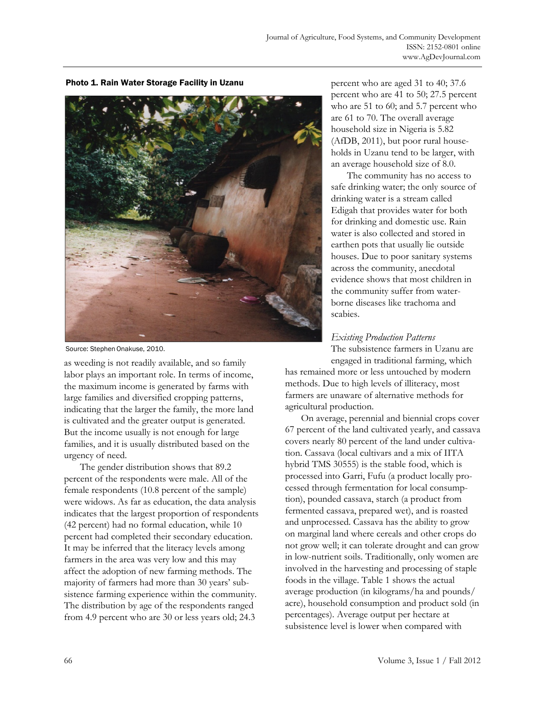

Photo 1. Rain Water Storage Facility in Uzanu

Source: Stephen Onakuse, 2010.

as weeding is not readily available, and so family labor plays an important role. In terms of income, the maximum income is generated by farms with large families and diversified cropping patterns, indicating that the larger the family, the more land is cultivated and the greater output is generated. But the income usually is not enough for large families, and it is usually distributed based on the urgency of need.

 The gender distribution shows that 89.2 percent of the respondents were male. All of the female respondents (10.8 percent of the sample) were widows. As far as education, the data analysis indicates that the largest proportion of respondents (42 percent) had no formal education, while 10 percent had completed their secondary education. It may be inferred that the literacy levels among farmers in the area was very low and this may affect the adoption of new farming methods. The majority of farmers had more than 30 years' subsistence farming experience within the community. The distribution by age of the respondents ranged from 4.9 percent who are 30 or less years old; 24.3

percent who are aged 31 to 40; 37.6 percent who are 41 to 50; 27.5 percent who are 51 to 60; and 5.7 percent who are 61 to 70. The overall average household size in Nigeria is 5.82 (AfDB, 2011), but poor rural households in Uzanu tend to be larger, with an average household size of 8.0.

 The community has no access to safe drinking water; the only source of drinking water is a stream called Edigah that provides water for both for drinking and domestic use. Rain water is also collected and stored in earthen pots that usually lie outside houses. Due to poor sanitary systems across the community, anecdotal evidence shows that most children in the community suffer from waterborne diseases like trachoma and scabies.

## *Existing Production Patterns*  The subsistence farmers in Uzanu are

engaged in traditional farming, which has remained more or less untouched by modern

methods. Due to high levels of illiteracy, most farmers are unaware of alternative methods for agricultural production.

 On average, perennial and biennial crops cover 67 percent of the land cultivated yearly, and cassava covers nearly 80 percent of the land under cultivation. Cassava (local cultivars and a mix of IITA hybrid TMS 30555) is the stable food, which is processed into Garri, Fufu (a product locally processed through fermentation for local consumption), pounded cassava, starch (a product from fermented cassava, prepared wet), and is roasted and unprocessed. Cassava has the ability to grow on marginal land where cereals and other crops do not grow well; it can tolerate drought and can grow in low-nutrient soils. Traditionally, only women are involved in the harvesting and processing of staple foods in the village. Table 1 shows the actual average production (in kilograms/ha and pounds/ acre), household consumption and product sold (in percentages). Average output per hectare at subsistence level is lower when compared with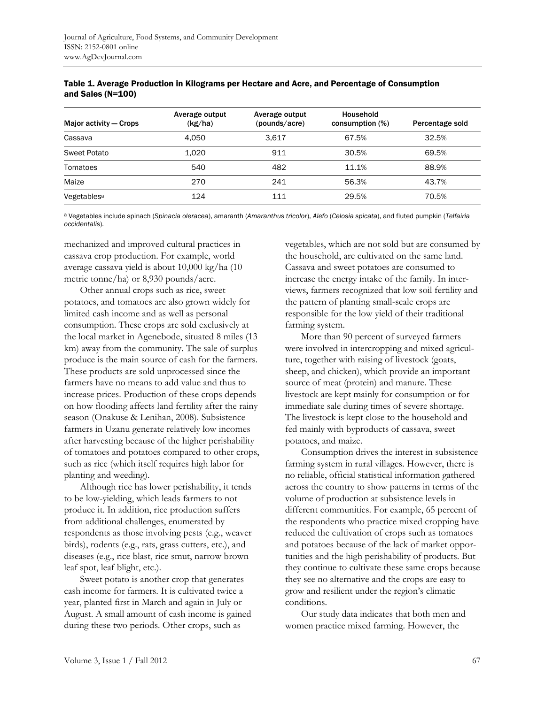| Major activity – Crops  | Average output<br>(kg/ha) | Average output<br>(pounds/acre) | Household<br>consumption (%) | Percentage sold |
|-------------------------|---------------------------|---------------------------------|------------------------------|-----------------|
| Cassava                 | 4.050                     | 3.617                           | 67.5%                        | 32.5%           |
| Sweet Potato            | 1.020                     | 911                             | 30.5%                        | 69.5%           |
| Tomatoes                | 540                       | 482                             | 11.1%                        | 88.9%           |
| Maize                   | 270                       | 241                             | 56.3%                        | 43.7%           |
| Vegetables <sup>a</sup> | 124                       | 111                             | 29.5%                        | 70.5%           |

| Table 1. Average Production in Kilograms per Hectare and Acre, and Percentage of Consumption |  |
|----------------------------------------------------------------------------------------------|--|
| and Sales $(N=100)$                                                                          |  |

a Vegetables include spinach (*Spinacia oleracea*), amaranth (*Amaranthus tricolor*), *Alefo* (*Celosia spicata*), and fluted pumpkin (*Telfairia occidentalis*).

mechanized and improved cultural practices in cassava crop production. For example, world average cassava yield is about 10,000 kg/ha (10 metric tonne/ha) or 8,930 pounds/acre.

 Other annual crops such as rice, sweet potatoes, and tomatoes are also grown widely for limited cash income and as well as personal consumption. These crops are sold exclusively at the local market in Agenebode, situated 8 miles (13 km) away from the community. The sale of surplus produce is the main source of cash for the farmers. These products are sold unprocessed since the farmers have no means to add value and thus to increase prices. Production of these crops depends on how flooding affects land fertility after the rainy season (Onakuse & Lenihan, 2008). Subsistence farmers in Uzanu generate relatively low incomes after harvesting because of the higher perishability of tomatoes and potatoes compared to other crops, such as rice (which itself requires high labor for planting and weeding).

 Although rice has lower perishability, it tends to be low-yielding, which leads farmers to not produce it. In addition, rice production suffers from additional challenges, enumerated by respondents as those involving pests (e.g., weaver birds), rodents (e.g., rats, grass cutters, etc.), and diseases (e.g., rice blast, rice smut, narrow brown leaf spot, leaf blight, etc.).

 Sweet potato is another crop that generates cash income for farmers. It is cultivated twice a year, planted first in March and again in July or August. A small amount of cash income is gained during these two periods. Other crops, such as

vegetables, which are not sold but are consumed by the household, are cultivated on the same land. Cassava and sweet potatoes are consumed to increase the energy intake of the family. In interviews, farmers recognized that low soil fertility and the pattern of planting small-scale crops are responsible for the low yield of their traditional farming system.

 More than 90 percent of surveyed farmers were involved in intercropping and mixed agriculture, together with raising of livestock (goats, sheep, and chicken), which provide an important source of meat (protein) and manure. These livestock are kept mainly for consumption or for immediate sale during times of severe shortage. The livestock is kept close to the household and fed mainly with byproducts of cassava, sweet potatoes, and maize.

 Consumption drives the interest in subsistence farming system in rural villages. However, there is no reliable, official statistical information gathered across the country to show patterns in terms of the volume of production at subsistence levels in different communities. For example, 65 percent of the respondents who practice mixed cropping have reduced the cultivation of crops such as tomatoes and potatoes because of the lack of market opportunities and the high perishability of products. But they continue to cultivate these same crops because they see no alternative and the crops are easy to grow and resilient under the region's climatic conditions.

 Our study data indicates that both men and women practice mixed farming. However, the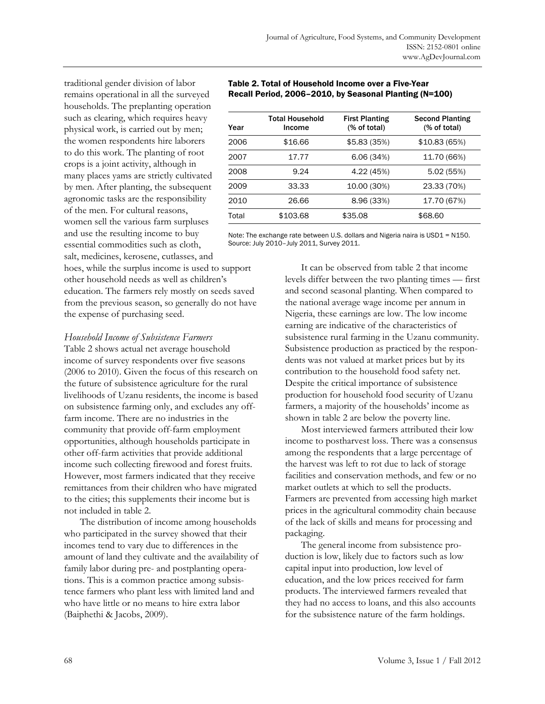traditional gender division of labor remains operational in all the surveyed households. The preplanting operation such as clearing, which requires heavy physical work, is carried out by men; the women respondents hire laborers to do this work. The planting of root crops is a joint activity, although in many places yams are strictly cultivated by men. After planting, the subsequent agronomic tasks are the responsibility of the men. For cultural reasons, women sell the various farm surpluses and use the resulting income to buy essential commodities such as cloth, salt, medicines, kerosene, cutlasses, and

#### Table 2. Total of Household Income over a Five-Year Recall Period, 2006–2010, by Seasonal Planting (N=100)

| Year  | Total Household<br>Income | <b>First Planting</b><br>(% of total) | <b>Second Planting</b><br>(% of total) |
|-------|---------------------------|---------------------------------------|----------------------------------------|
| 2006  | \$16.66                   | \$5.83(35%)                           | \$10.83(65%)                           |
| 2007  | 17.77                     | 6.06(34%)                             | 11.70 (66%)                            |
| 2008  | 9.24                      | 4.22 (45%)                            | 5.02 (55%)                             |
| 2009  | 33.33                     | 10.00 (30%)                           | 23.33 (70%)                            |
| 2010  | 26.66                     | 8.96 (33%)                            | 17.70 (67%)                            |
| Total | \$103.68                  | \$35.08                               | \$68.60                                |

Note: The exchange rate between U.S. dollars and Nigeria naira is USD1 = N150. Source: July 2010–July 2011, Survey 2011.

hoes, while the surplus income is used to support other household needs as well as children's education. The farmers rely mostly on seeds saved from the previous season, so generally do not have the expense of purchasing seed.

#### *Household Income of Subsistence Farmers*

Table 2 shows actual net average household income of survey respondents over five seasons (2006 to 2010). Given the focus of this research on the future of subsistence agriculture for the rural livelihoods of Uzanu residents, the income is based on subsistence farming only, and excludes any offfarm income. There are no industries in the community that provide off-farm employment opportunities, although households participate in other off-farm activities that provide additional income such collecting firewood and forest fruits. However, most farmers indicated that they receive remittances from their children who have migrated to the cities; this supplements their income but is not included in table 2.

 The distribution of income among households who participated in the survey showed that their incomes tend to vary due to differences in the amount of land they cultivate and the availability of family labor during pre- and postplanting operations. This is a common practice among subsistence farmers who plant less with limited land and who have little or no means to hire extra labor (Baiphethi & Jacobs, 2009).

 It can be observed from table 2 that income levels differ between the two planting times — first and second seasonal planting. When compared to the national average wage income per annum in Nigeria, these earnings are low. The low income earning are indicative of the characteristics of subsistence rural farming in the Uzanu community. Subsistence production as practiced by the respondents was not valued at market prices but by its contribution to the household food safety net. Despite the critical importance of subsistence production for household food security of Uzanu farmers, a majority of the households' income as shown in table 2 are below the poverty line.

 Most interviewed farmers attributed their low income to postharvest loss. There was a consensus among the respondents that a large percentage of the harvest was left to rot due to lack of storage facilities and conservation methods, and few or no market outlets at which to sell the products. Farmers are prevented from accessing high market prices in the agricultural commodity chain because of the lack of skills and means for processing and packaging.

 The general income from subsistence production is low, likely due to factors such as low capital input into production, low level of education, and the low prices received for farm products. The interviewed farmers revealed that they had no access to loans, and this also accounts for the subsistence nature of the farm holdings.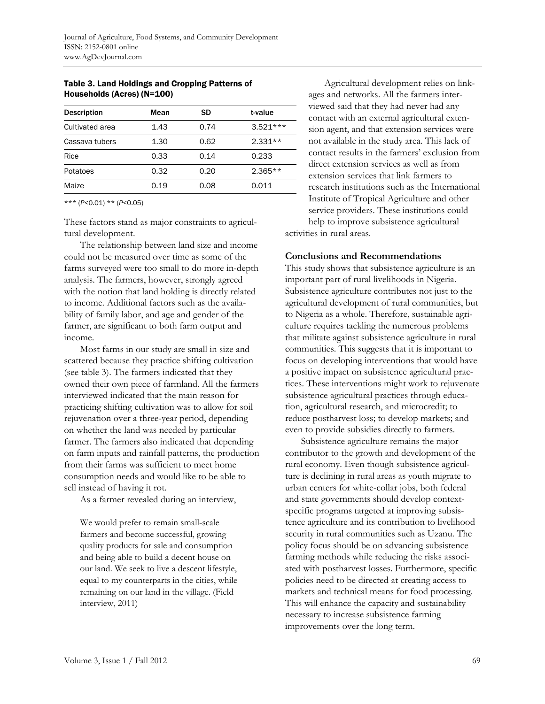| <b>Description</b> | Mean | SD   | t-value    |
|--------------------|------|------|------------|
| Cultivated area    | 1.43 | 0.74 | $3.521***$ |
| Cassava tubers     | 1.30 | 0.62 | $2.331**$  |
| Rice               | 0.33 | 0.14 | 0.233      |
| Potatoes           | 0.32 | 0.20 | $2.365**$  |
| Maize              | 0.19 | 0.08 | 0.011      |

### Table 3. Land Holdings and Cropping Patterns of Households (Acres) (N=100)

\*\*\* (*P*<0.01) \*\* (*P*<0.05)

These factors stand as major constraints to agricultural development.

 The relationship between land size and income could not be measured over time as some of the farms surveyed were too small to do more in-depth analysis. The farmers, however, strongly agreed with the notion that land holding is directly related to income. Additional factors such as the availability of family labor, and age and gender of the farmer, are significant to both farm output and income.

 Most farms in our study are small in size and scattered because they practice shifting cultivation (see table 3). The farmers indicated that they owned their own piece of farmland. All the farmers interviewed indicated that the main reason for practicing shifting cultivation was to allow for soil rejuvenation over a three-year period, depending on whether the land was needed by particular farmer. The farmers also indicated that depending on farm inputs and rainfall patterns, the production from their farms was sufficient to meet home consumption needs and would like to be able to sell instead of having it rot.

As a farmer revealed during an interview,

We would prefer to remain small-scale farmers and become successful, growing quality products for sale and consumption and being able to build a decent house on our land. We seek to live a descent lifestyle, equal to my counterparts in the cities, while remaining on our land in the village. (Field interview, 2011)

 Agricultural development relies on linkages and networks. All the farmers interviewed said that they had never had any contact with an external agricultural extension agent, and that extension services were not available in the study area. This lack of contact results in the farmers' exclusion from direct extension services as well as from extension services that link farmers to research institutions such as the International Institute of Tropical Agriculture and other service providers. These institutions could help to improve subsistence agricultural activities in rural areas.

### **Conclusions and Recommendations**

This study shows that subsistence agriculture is an important part of rural livelihoods in Nigeria. Subsistence agriculture contributes not just to the agricultural development of rural communities, but to Nigeria as a whole. Therefore, sustainable agriculture requires tackling the numerous problems that militate against subsistence agriculture in rural communities. This suggests that it is important to focus on developing interventions that would have a positive impact on subsistence agricultural practices. These interventions might work to rejuvenate subsistence agricultural practices through education, agricultural research, and microcredit; to reduce postharvest loss; to develop markets; and even to provide subsidies directly to farmers.

 Subsistence agriculture remains the major contributor to the growth and development of the rural economy. Even though subsistence agriculture is declining in rural areas as youth migrate to urban centers for white-collar jobs, both federal and state governments should develop contextspecific programs targeted at improving subsistence agriculture and its contribution to livelihood security in rural communities such as Uzanu. The policy focus should be on advancing subsistence farming methods while reducing the risks associated with postharvest losses. Furthermore, specific policies need to be directed at creating access to markets and technical means for food processing. This will enhance the capacity and sustainability necessary to increase subsistence farming improvements over the long term.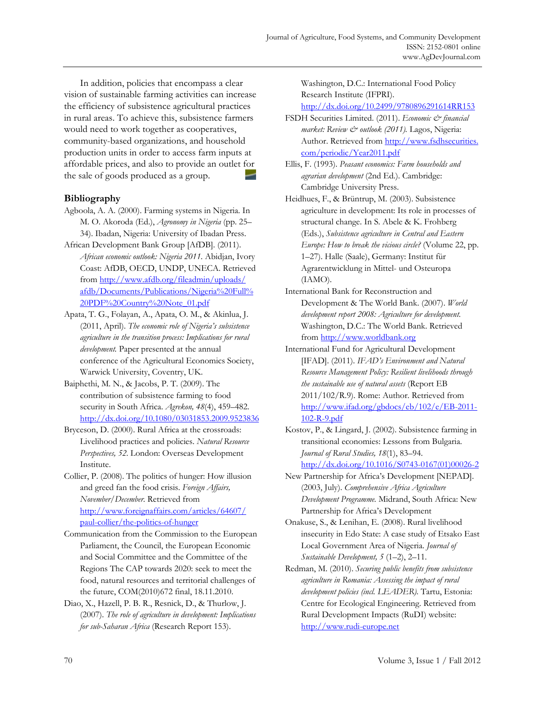In addition, policies that encompass a clear vision of sustainable farming activities can increase the efficiency of subsistence agricultural practices in rural areas. To achieve this, subsistence farmers would need to work together as cooperatives, community-based organizations, and household production units in order to access farm inputs at affordable prices, and also to provide an outlet for the sale of goods produced as a group.

# **Bibliography**

- Agboola, A. A. (2000). Farming systems in Nigeria. In M. O. Akoroda (Ed.), *Agronomy in Nigeria* (pp. 25– 34). Ibadan, Nigeria: University of Ibadan Press.
- African Development Bank Group [AfDB]. (2011). *African economic outlook: Nigeria 2011.* Abidjan, Ivory Coast: AfDB, OECD, UNDP, UNECA. Retrieved from http://www.afdb.org/fileadmin/uploads/ [afdb/Documents/Publications/Nigeria%20Full%](http://www.afdb.org/fileadmin/uploads/afdb/Documents/Publications/Nigeria%20Full%20PDF%20Country%20Note_01.pdf)  20PDF%20Country%20Note\_01.pdf
- Apata, T. G., Folayan, A., Apata, O. M., & Akinlua, J. (2011, April). *The economic role of Nigeria's subsistence agriculture in the transition process: Implications for rural development.* Paper presented at the annual conference of the Agricultural Economics Society, Warwick University, Coventry, UK.
- Baiphethi, M. N., & Jacobs, P. T. (2009). The contribution of subsistence farming to food security in South Africa. *Agrekon, 48*(4), 459–482. http://dx.doi.org/10.1080/03031853.2009.9523836
- Bryceson, D. (2000). Rural Africa at the crossroads: Livelihood practices and policies. *Natural Resource Perspectives, 52.* London: Overseas Development Institute.
- Collier, P. (2008). The politics of hunger: How illusion and greed fan the food crisis. *Foreign Affairs, November/December.* Retrieved from [http://www.foreignaffairs.com/articles/64607/](http://www.foreignaffairs.com/articles/64607/paul-collier/the-politics-of-hunger) paul-collier/the-politics-of-hunger
- Communication from the Commission to the European Parliament, the Council, the European Economic and Social Committee and the Committee of the Regions The CAP towards 2020: seek to meet the food, natural resources and territorial challenges of the future, COM(2010)672 final, 18.11.2010.
- Diao, X., Hazell, P. B. R., Resnick, D., & Thurlow, J. (2007). *The role of agriculture in development: Implications for sub-Saharan Africa* (Research Report 153).

Washington, D.C.: International Food Policy Research Institute (IFPRI).

http://dx.doi.org/10.2499/9780896291614RR153

- FSDH Securities Limited. (2011). *Economic & financial market: Review & outlook (2011).* Lagos, Nigeria: Author. Retrieved from http://www.fsdhsecurities. com/periodic/Year2011.pdf
- Ellis, F. (1993). *Peasant economics: Farm households and agrarian development* (2nd Ed.). Cambridge: Cambridge University Press.
- Heidhues, F., & Brüntrup, M. (2003). Subsistence agriculture in development: Its role in processes of structural change. In S. Abele & K. Frohberg (Eds.), *Subsistence agriculture in Central and Eastern Europe: How to break the vicious circle?* (Volume 22, pp. 1–27). Halle (Saale), Germany: Institut für Agrarentwicklung in Mittel- und Osteuropa (IAMO).
- International Bank for Reconstruction and Development & The World Bank. (2007). *World development report 2008: Agriculture for development.* Washington, D.C.: The World Bank. Retrieved from http://www.worldbank.org
- International Fund for Agricultural Development [IFAD]. (2011). *IFAD's Environment and Natural Resource Management Policy: Resilient livelihoods through the sustainable use of natural assets* (Report EB 2011/102/R.9). Rome: Author. Retrieved from http://www.ifad.org/gbdocs/eb/102/e/EB-2011- 102-R-9.pdf
- Kostov, P., & Lingard, J. (2002). Subsistence farming in transitional economies: Lessons from Bulgaria. *Journal of Rural Studies, 18*(1), 83–94. [http://dx.doi.org/10.1016/S0743-0167\(01\)00026-2](http://dx.doi.org/10.1016/S0743-0167(01)00026-2)
- New Partnership for Africa's Development [NEPAD]. (2003, July). *Comprehensive Africa Agriculture Development Programme.* Midrand, South Africa: New Partnership for Africa's Development
- Onakuse, S., & Lenihan, E. (2008). Rural livelihood insecurity in Edo State: A case study of Etsako East Local Government Area of Nigeria. *Journal of Sustainable Development, 5* (1–2), 2–11.
- Redman, M. (2010). *Securing public benefits from subsistence agriculture in Romania: Assessing the impact of rural development policies (incl. LEADER).* Tartu, Estonia: Centre for Ecological Engineering. Retrieved from Rural Development Impacts (RuDI) website: http://www.rudi-europe.net